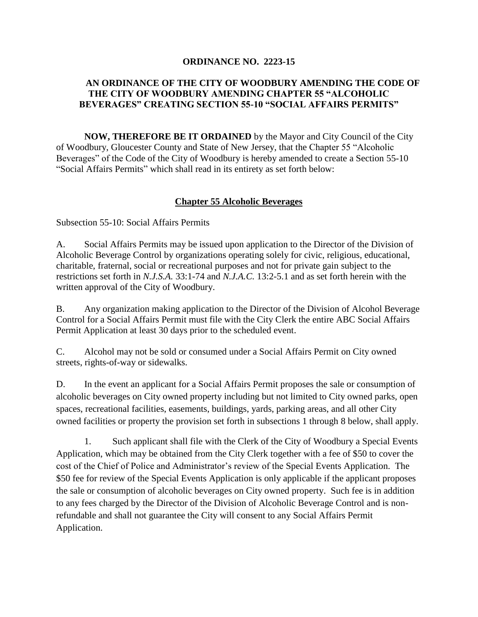## **ORDINANCE NO. 2223-15**

## **AN ORDINANCE OF THE CITY OF WOODBURY AMENDING THE CODE OF THE CITY OF WOODBURY AMENDING CHAPTER 55 "ALCOHOLIC BEVERAGES" CREATING SECTION 55-10 "SOCIAL AFFAIRS PERMITS"**

**NOW, THEREFORE BE IT ORDAINED** by the Mayor and City Council of the City of Woodbury, Gloucester County and State of New Jersey, that the Chapter 55 "Alcoholic Beverages" of the Code of the City of Woodbury is hereby amended to create a Section 55-10 "Social Affairs Permits" which shall read in its entirety as set forth below:

## **Chapter 55 Alcoholic Beverages**

Subsection 55-10: Social Affairs Permits

A. Social Affairs Permits may be issued upon application to the Director of the Division of Alcoholic Beverage Control by organizations operating solely for civic, religious, educational, charitable, fraternal, social or recreational purposes and not for private gain subject to the restrictions set forth in *N.J.S.A.* 33:1-74 and *N.J.A.C.* 13:2-5.1 and as set forth herein with the written approval of the City of Woodbury.

B. Any organization making application to the Director of the Division of Alcohol Beverage Control for a Social Affairs Permit must file with the City Clerk the entire ABC Social Affairs Permit Application at least 30 days prior to the scheduled event.

C. Alcohol may not be sold or consumed under a Social Affairs Permit on City owned streets, rights-of-way or sidewalks.

D. In the event an applicant for a Social Affairs Permit proposes the sale or consumption of alcoholic beverages on City owned property including but not limited to City owned parks, open spaces, recreational facilities, easements, buildings, yards, parking areas, and all other City owned facilities or property the provision set forth in subsections 1 through 8 below, shall apply.

1. Such applicant shall file with the Clerk of the City of Woodbury a Special Events Application, which may be obtained from the City Clerk together with a fee of \$50 to cover the cost of the Chief of Police and Administrator's review of the Special Events Application. The \$50 fee for review of the Special Events Application is only applicable if the applicant proposes the sale or consumption of alcoholic beverages on City owned property. Such fee is in addition to any fees charged by the Director of the Division of Alcoholic Beverage Control and is nonrefundable and shall not guarantee the City will consent to any Social Affairs Permit Application.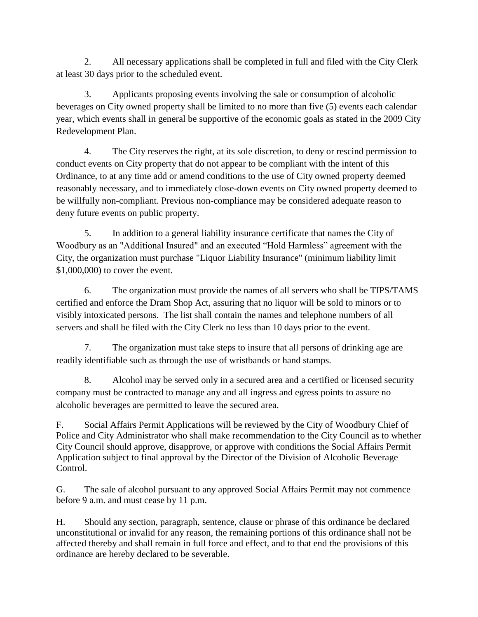2. All necessary applications shall be completed in full and filed with the City Clerk at least 30 days prior to the scheduled event.

3. Applicants proposing events involving the sale or consumption of alcoholic beverages on City owned property shall be limited to no more than five (5) events each calendar year, which events shall in general be supportive of the economic goals as stated in the 2009 City Redevelopment Plan.

4. The City reserves the right, at its sole discretion, to deny or rescind permission to conduct events on City property that do not appear to be compliant with the intent of this Ordinance, to at any time add or amend conditions to the use of City owned property deemed reasonably necessary, and to immediately close-down events on City owned property deemed to be willfully non-compliant. Previous non-compliance may be considered adequate reason to deny future events on public property.

5. In addition to a general liability insurance certificate that names the City of Woodbury as an "Additional Insured" and an executed "Hold Harmless" agreement with the City, the organization must purchase "Liquor Liability Insurance" (minimum liability limit \$1,000,000) to cover the event.

6. The organization must provide the names of all servers who shall be TIPS/TAMS certified and enforce the Dram Shop Act, assuring that no liquor will be sold to minors or to visibly intoxicated persons. The list shall contain the names and telephone numbers of all servers and shall be filed with the City Clerk no less than 10 days prior to the event.

7. The organization must take steps to insure that all persons of drinking age are readily identifiable such as through the use of wristbands or hand stamps.

8. Alcohol may be served only in a secured area and a certified or licensed security company must be contracted to manage any and all ingress and egress points to assure no alcoholic beverages are permitted to leave the secured area.

F. Social Affairs Permit Applications will be reviewed by the City of Woodbury Chief of Police and City Administrator who shall make recommendation to the City Council as to whether City Council should approve, disapprove, or approve with conditions the Social Affairs Permit Application subject to final approval by the Director of the Division of Alcoholic Beverage Control.

G. The sale of alcohol pursuant to any approved Social Affairs Permit may not commence before 9 a.m. and must cease by 11 p.m.

H. Should any section, paragraph, sentence, clause or phrase of this ordinance be declared unconstitutional or invalid for any reason, the remaining portions of this ordinance shall not be affected thereby and shall remain in full force and effect, and to that end the provisions of this ordinance are hereby declared to be severable.